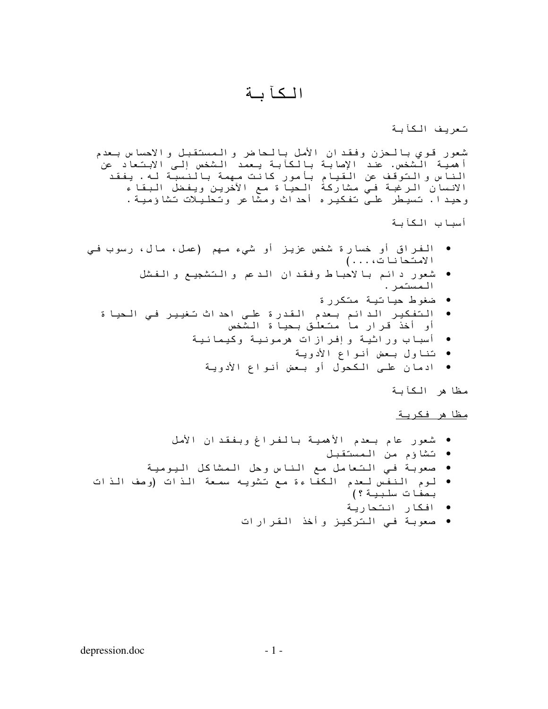## الكأبة

تعريف الكأبة

شعور قوي بالحزن وفقدان الأمل بالحاضر والمستقبل والاحساس بعدم أهمية الشخص. عند الإصابة بالعابة يعمد الشخص إلى الابتعاد عن ٰ الناس والتوقف عن القيام بأمور كانت مهمة بالنسبة له. يفقد الانسان الرغبة في مشاركة الحياة مع الأخرين ويفضل البقاء وحيدا. تسيطر علـى تفكيره أحداث ومشا عر وتحليلات تشاؤمية.

أسباب الكآبة

- الفراق أو خسارة شخص عزيز أو شيء مـهم (عمل، مال، رسوب فـي الامتحانات، . . . )
	- شعور دائم بالاحباط وفقدان الدعم والتشجيع والفشل المستمر .
		- ضغوط حياتية متكررة
	- التفكير الدائم بعدم القدرة على احداث تغيير في الحيا ة<br>أو أخذ قرار ما متعلق بحيا ة الشخص
		- أسباب وراثية وإفرازات هرمونية وكيمائية
			- تناول بـعض أنواع الأدويـة
			- ادمان علـى المكحول أو بـعض أنـواع الأدويـة

مظا هر الكأبة

<u>مظا هر فكرية</u>

- شعور عام بـعدم الأهصية بالفراغ وبفقدان الأمل
	- تشاؤم من المستقبل
- صعوبة في التعامل مع الناس وحل الممشاكل اليومية
- لوم النفس لعدم الكفاءة مع تشويه سمعة الذات (وصف الذات بصفات سلبية ؟)
	- افکار انتحاریة
	- صعوبة فـي التركيز وأخذ القرارات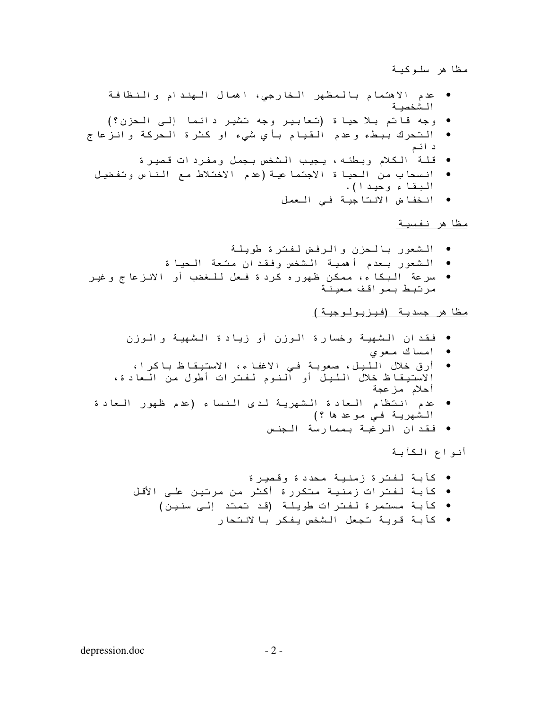## <u>مظاهر سلوكية</u>

- عدم الاهتمام بالمظهر الخارجى، اهمال الهندام والنظافة الشخصبة
- وجه قاتم بلا حياة (تعابير وجه تشير دائما إلى الحزن؟)
- التحرك ببطء وعدم القيام بأي شيء او كثرة الحركة وانزعا ج د ائم
	- قلـة الكلام وبطئـه، يـجيب الـشخص بـجمل ومفردات قصيرة
	- انسحاب من الحيا ة الاجتما عية (عدم الاختلاط مع الناس وتفضيل البقا ء وحيد ا).
		- انخفاض الأنتاجية فى العمل

مظا هر نفسية

- الشعور بالحزن والرفض لفترة طويلة
- الشعور بعدم أهمية الشخص وفقدان متعة الحيا ة
- سرعة البكا ء، ممكن ظهور ه كرد ة فـعل للـغضب أو الانزعا ج و غير مرتبط بمواقف معينة

## <u>مظا هر جسدية (فيزيولوجية)</u>

- فقدان الشهية وخسارة الوزن أو زيادة الشهية والوزن
	- امساك معوى
- أرق خلال الليل، صعوبة في الاغفاء، الاستيقاظ باكرا، الاستيقاظ خلال الليل أو النوم لفترات أطول من العادة، أحلام مزعجة
- عدم انتظام العادة الشهرية لدى النساء (عدم ظهور العادة  $\bullet$ الشهرية في موعد ها ؟)
	- فقدان الرغبة بممارسة الجنس

أنواع الكأبة

- كأبة لفترة زمنية محددة وقصيرة
- كأبة لفترات زمنية متكررة أكثر من مرتين على الأقل
	- كأبة مستمرة لفترات طويلة (قد تمتد إلى سنين)
		- كأبة قوية تجعل الشخص يفكر با لانتحار